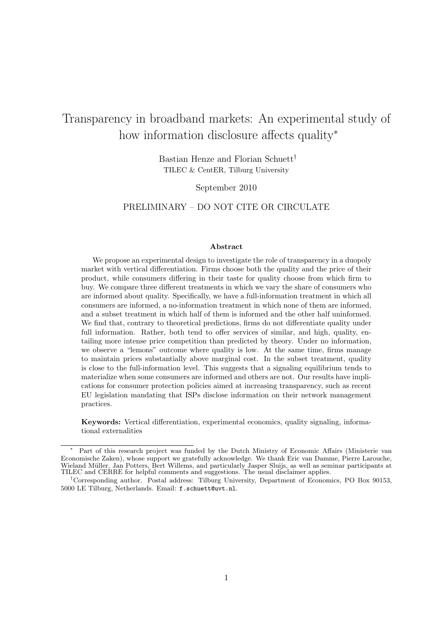# Transparency in broadband markets: An experimental study of how information disclosure affects quality<sup>∗</sup>

Bastian Henze and Florian Schuett† TILEC & CentER, Tilburg University

September 2010

PRELIMINARY – DO NOT CITE OR CIRCULATE

#### Abstract

We propose an experimental design to investigate the role of transparency in a duopoly market with vertical differentiation. Firms choose both the quality and the price of their product, while consumers differing in their taste for quality choose from which firm to buy. We compare three different treatments in which we vary the share of consumers who are informed about quality. Specifically, we have a full-information treatment in which all consumers are informed, a no-information treatment in which none of them are informed, and a subset treatment in which half of them is informed and the other half uninformed. We find that, contrary to theoretical predictions, firms do not differentiate quality under full information. Rather, both tend to offer services of similar, and high, quality, entailing more intense price competition than predicted by theory. Under no information, we observe a "lemons" outcome where quality is low. At the same time, firms manage to maintain prices substantially above marginal cost. In the subset treatment, quality is close to the full-information level. This suggests that a signaling equilibrium tends to materialize when some consumers are informed and others are not. Our results have implications for consumer protection policies aimed at increasing transparency, such as recent EU legislation mandating that ISPs disclose information on their network management practices.

Keywords: Vertical differentiation, experimental economics, quality signaling, informational externalities

Part of this research project was funded by the Dutch Ministry of Economic Affairs (Ministerie van Economische Zaken), whose support we gratefully acknowledge. We thank Eric van Damme, Pierre Larouche, Wieland Müller, Jan Potters, Bert Willems, and particularly Jasper Sluijs, as well as seminar participants at TILEC and CERRE for helpful comments and suggestions. The usual disclaimer applies.

<sup>†</sup>Corresponding author. Postal address: Tilburg University, Department of Economics, PO Box 90153, 5000 LE Tilburg, Netherlands. Email: f.schuett@uvt.nl.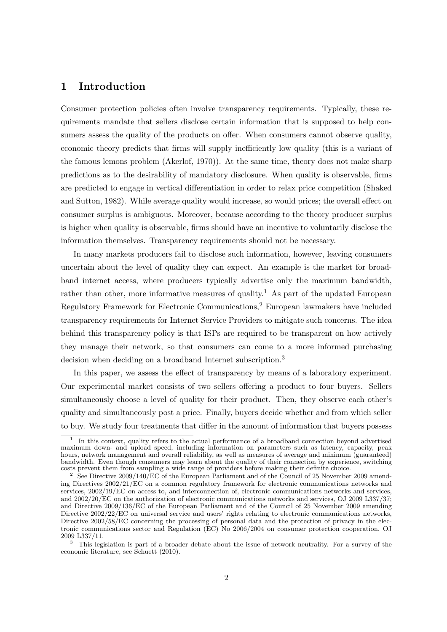# 1 Introduction

Consumer protection policies often involve transparency requirements. Typically, these requirements mandate that sellers disclose certain information that is supposed to help consumers assess the quality of the products on offer. When consumers cannot observe quality, economic theory predicts that firms will supply inefficiently low quality (this is a variant of the famous lemons problem [\(Akerlof,](#page-21-0) [1970\)](#page-21-0)). At the same time, theory does not make sharp predictions as to the desirability of mandatory disclosure. When quality is observable, firms are predicted to engage in vertical differentiation in order to relax price competition [\(Shaked](#page-21-1) [and Sutton,](#page-21-1) [1982\)](#page-21-1). While average quality would increase, so would prices; the overall effect on consumer surplus is ambiguous. Moreover, because according to the theory producer surplus is higher when quality is observable, firms should have an incentive to voluntarily disclose the information themselves. Transparency requirements should not be necessary.

In many markets producers fail to disclose such information, however, leaving consumers uncertain about the level of quality they can expect. An example is the market for broadband internet access, where producers typically advertise only the maximum bandwidth, rather than other, more informative measures of quality.<sup>[1](#page-1-0)</sup> As part of the updated European Regulatory Framework for Electronic Communications,[2](#page-1-1) European lawmakers have included transparency requirements for Internet Service Providers to mitigate such concerns. The idea behind this transparency policy is that ISPs are required to be transparent on how actively they manage their network, so that consumers can come to a more informed purchasing decision when deciding on a broadband Internet subscription.<sup>[3](#page-1-2)</sup>

In this paper, we assess the effect of transparency by means of a laboratory experiment. Our experimental market consists of two sellers offering a product to four buyers. Sellers simultaneously choose a level of quality for their product. Then, they observe each other's quality and simultaneously post a price. Finally, buyers decide whether and from which seller to buy. We study four treatments that differ in the amount of information that buyers possess

<span id="page-1-0"></span><sup>&</sup>lt;sup>1</sup> In this context, quality refers to the actual performance of a broadband connection beyond advertised maximum down- and upload speed, including information on parameters such as latency, capacity, peak hours, network management and overall reliability, as well as measures of average and minimum (guaranteed) bandwidth. Even though consumers may learn about the quality of their connection by experience, switching costs prevent them from sampling a wide range of providers before making their definite choice.

<span id="page-1-1"></span><sup>&</sup>lt;sup>2</sup> See Directive  $2009/140$ /EC of the European Parliament and of the Council of 25 November 2009 amending Directives 2002/21/EC on a common regulatory framework for electronic communications networks and services, 2002/19/EC on access to, and interconnection of, electronic communications networks and services, and 2002/20/EC on the authorization of electronic communications networks and services, OJ 2009 L337/37; and Directive 2009/136/EC of the European Parliament and of the Council of 25 November 2009 amending Directive 2002/22/EC on universal service and users' rights relating to electronic communications networks, Directive  $2002/58/EC$  concerning the processing of personal data and the protection of privacy in the electronic communications sector and Regulation (EC) No 2006/2004 on consumer protection cooperation, OJ 2009 L337/11.

<span id="page-1-2"></span><sup>3</sup> This legislation is part of a broader debate about the issue of network neutrality. For a survey of the economic literature, see [Schuett](#page-21-2) [\(2010\)](#page-21-2).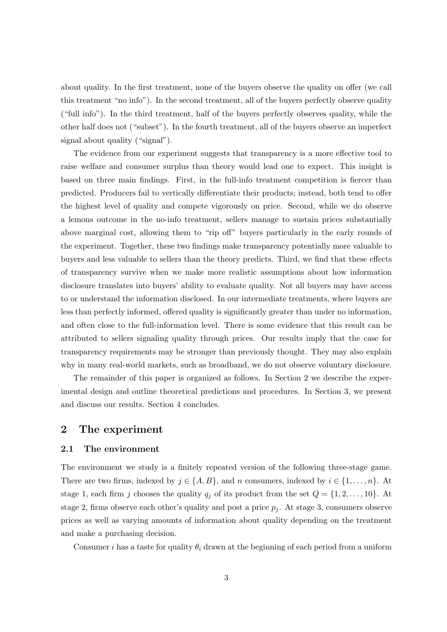about quality. In the first treatment, none of the buyers observe the quality on offer (we call this treatment "no info"). In the second treatment, all of the buyers perfectly observe quality ("full info"). In the third treatment, half of the buyers perfectly observes quality, while the other half does not ("subset"). In the fourth treatment, all of the buyers observe an imperfect signal about quality ("signal").

The evidence from our experiment suggests that transparency is a more effective tool to raise welfare and consumer surplus than theory would lead one to expect. This insight is based on three main findings. First, in the full-info treatment competition is fiercer than predicted. Producers fail to vertically differentiate their products; instead, both tend to offer the highest level of quality and compete vigorously on price. Second, while we do observe a lemons outcome in the no-info treatment, sellers manage to sustain prices substantially above marginal cost, allowing them to "rip off" buyers particularly in the early rounds of the experiment. Together, these two findings make transparency potentially more valuable to buyers and less valuable to sellers than the theory predicts. Third, we find that these effects of transparency survive when we make more realistic assumptions about how information disclosure translates into buyers' ability to evaluate quality. Not all buyers may have access to or understand the information disclosed. In our intermediate treatments, where buyers are less than perfectly informed, offered quality is significantly greater than under no information, and often close to the full-information level. There is some evidence that this result can be attributed to sellers signaling quality through prices. Our results imply that the case for transparency requirements may be stronger than previously thought. They may also explain why in many real-world markets, such as broadband, we do not observe voluntary disclosure.

The remainder of this paper is organized as follows. In Section [2](#page-2-0) we describe the experimental design and outline theoretical predictions and procedures. In Section [3,](#page-10-0) we present and discuss our results. Section [4](#page-16-0) concludes.

# <span id="page-2-0"></span>2 The experiment

#### <span id="page-2-1"></span>2.1 The environment

The environment we study is a finitely repeated version of the following three-stage game. There are two firms, indexed by  $j \in \{A, B\}$ , and n consumers, indexed by  $i \in \{1, ..., n\}$ . At stage 1, each firm j chooses the quality  $q_j$  of its product from the set  $Q = \{1, 2, \ldots, 10\}$ . At stage 2, firms observe each other's quality and post a price  $p_i$ . At stage 3, consumers observe prices as well as varying amounts of information about quality depending on the treatment and make a purchasing decision.

Consumer i has a taste for quality  $\theta_i$  drawn at the beginning of each period from a uniform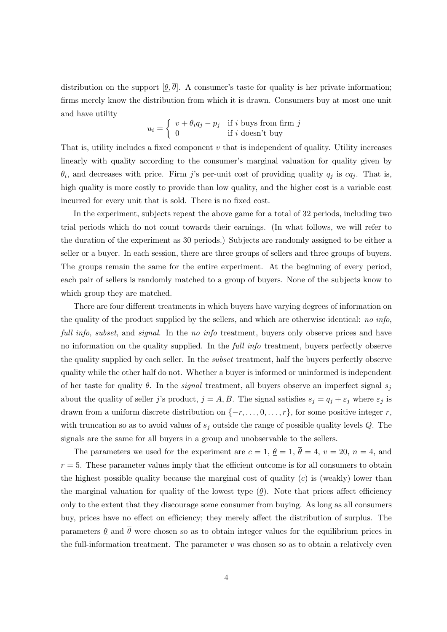distribution on the support  $[\theta, \overline{\theta}]$ . A consumer's taste for quality is her private information; firms merely know the distribution from which it is drawn. Consumers buy at most one unit and have utility

$$
u_i = \begin{cases} v + \theta_i q_j - p_j & \text{if } i \text{ buys from firm } j \\ 0 & \text{if } i \text{ doesn't buy} \end{cases}
$$

That is, utility includes a fixed component  $v$  that is independent of quality. Utility increases linearly with quality according to the consumer's marginal valuation for quality given by  $\theta_i$ , and decreases with price. Firm j's per-unit cost of providing quality  $q_j$  is  $cq_j$ . That is, high quality is more costly to provide than low quality, and the higher cost is a variable cost incurred for every unit that is sold. There is no fixed cost.

In the experiment, subjects repeat the above game for a total of 32 periods, including two trial periods which do not count towards their earnings. (In what follows, we will refer to the duration of the experiment as 30 periods.) Subjects are randomly assigned to be either a seller or a buyer. In each session, there are three groups of sellers and three groups of buyers. The groups remain the same for the entire experiment. At the beginning of every period, each pair of sellers is randomly matched to a group of buyers. None of the subjects know to which group they are matched.

There are four different treatments in which buyers have varying degrees of information on the quality of the product supplied by the sellers, and which are otherwise identical: *no* info, full info, subset, and signal. In the no info treatment, buyers only observe prices and have no information on the quality supplied. In the *full info* treatment, buyers perfectly observe the quality supplied by each seller. In the *subset* treatment, half the buyers perfectly observe quality while the other half do not. Whether a buyer is informed or uninformed is independent of her taste for quality  $\theta$ . In the *signal* treatment, all buyers observe an imperfect signal  $s_i$ about the quality of seller j's product,  $j = A, B$ . The signal satisfies  $s_j = q_j + \varepsilon_j$  where  $\varepsilon_j$  is drawn from a uniform discrete distribution on  $\{-r, \ldots, 0, \ldots, r\}$ , for some positive integer r, with truncation so as to avoid values of  $s_j$  outside the range of possible quality levels  $Q$ . The signals are the same for all buyers in a group and unobservable to the sellers.

The parameters we used for the experiment are  $c = 1, \underline{\theta} = 1, \overline{\theta} = 4, v = 20, n = 4$ , and  $r = 5$ . These parameter values imply that the efficient outcome is for all consumers to obtain the highest possible quality because the marginal cost of quality  $(c)$  is (weakly) lower than the marginal valuation for quality of the lowest type  $(\theta)$ . Note that prices affect efficiency only to the extent that they discourage some consumer from buying. As long as all consumers buy, prices have no effect on efficiency; they merely affect the distribution of surplus. The parameters  $\theta$  and  $\bar{\theta}$  were chosen so as to obtain integer values for the equilibrium prices in the full-information treatment. The parameter  $v$  was chosen so as to obtain a relatively even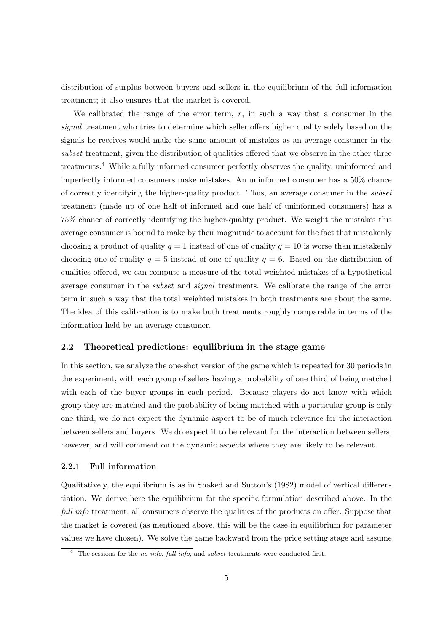distribution of surplus between buyers and sellers in the equilibrium of the full-information treatment; it also ensures that the market is covered.

We calibrated the range of the error term,  $r$ , in such a way that a consumer in the signal treatment who tries to determine which seller offers higher quality solely based on the signals he receives would make the same amount of mistakes as an average consumer in the subset treatment, given the distribution of qualities offered that we observe in the other three treatments.[4](#page-4-0) While a fully informed consumer perfectly observes the quality, uninformed and imperfectly informed consumers make mistakes. An uninformed consumer has a 50% chance of correctly identifying the higher-quality product. Thus, an average consumer in the subset treatment (made up of one half of informed and one half of uninformed consumers) has a 75% chance of correctly identifying the higher-quality product. We weight the mistakes this average consumer is bound to make by their magnitude to account for the fact that mistakenly choosing a product of quality  $q = 1$  instead of one of quality  $q = 10$  is worse than mistakenly choosing one of quality  $q = 5$  instead of one of quality  $q = 6$ . Based on the distribution of qualities offered, we can compute a measure of the total weighted mistakes of a hypothetical average consumer in the subset and signal treatments. We calibrate the range of the error term in such a way that the total weighted mistakes in both treatments are about the same. The idea of this calibration is to make both treatments roughly comparable in terms of the information held by an average consumer.

## <span id="page-4-1"></span>2.2 Theoretical predictions: equilibrium in the stage game

In this section, we analyze the one-shot version of the game which is repeated for 30 periods in the experiment, with each group of sellers having a probability of one third of being matched with each of the buyer groups in each period. Because players do not know with which group they are matched and the probability of being matched with a particular group is only one third, we do not expect the dynamic aspect to be of much relevance for the interaction between sellers and buyers. We do expect it to be relevant for the interaction between sellers, however, and will comment on the dynamic aspects where they are likely to be relevant.

#### 2.2.1 Full information

Qualitatively, the equilibrium is as in [Shaked and Sutton'](#page-21-1)s [\(1982\)](#page-21-1) model of vertical differentiation. We derive here the equilibrium for the specific formulation described above. In the full info treatment, all consumers observe the qualities of the products on offer. Suppose that the market is covered (as mentioned above, this will be the case in equilibrium for parameter values we have chosen). We solve the game backward from the price setting stage and assume

<span id="page-4-0"></span> $4$  The sessions for the *no info*, full info, and *subset* treatments were conducted first.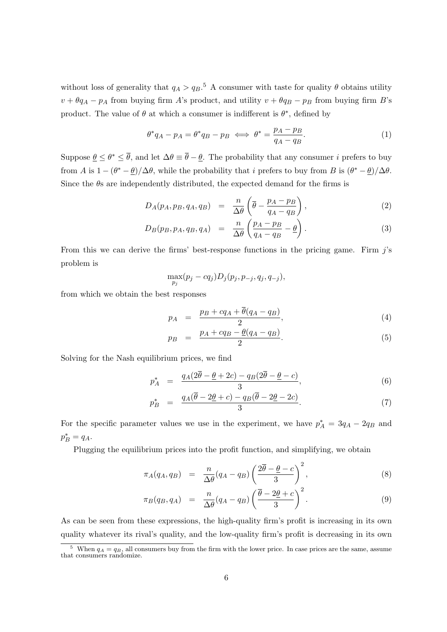without loss of generality that  $q_A > q_B$ .<sup>[5](#page-5-0)</sup> A consumer with taste for quality  $\theta$  obtains utility  $v + \theta q_A - p_A$  from buying firm A's product, and utility  $v + \theta q_B - p_B$  from buying firm B's product. The value of  $\theta$  at which a consumer is indifferent is  $\theta^*$ , defined by

$$
\theta^* q_A - p_A = \theta^* q_B - p_B \iff \theta^* = \frac{p_A - p_B}{q_A - q_B}.\tag{1}
$$

Suppose  $\theta \leq \theta^* \leq \overline{\theta}$ , and let  $\Delta \theta \equiv \overline{\theta} - \underline{\theta}$ . The probability that any consumer *i* prefers to buy from A is  $1 - (\theta^* - \underline{\theta})/\Delta\theta$ , while the probability that i prefers to buy from B is  $(\theta^* - \underline{\theta})/\Delta\theta$ . Since the  $\theta$ s are independently distributed, the expected demand for the firms is

$$
D_A(p_A, p_B, q_A, q_B) = \frac{n}{\Delta \theta} \left( \overline{\theta} - \frac{p_A - p_B}{q_A - q_B} \right), \tag{2}
$$

<span id="page-5-3"></span>
$$
D_B(p_B, p_A, q_B, q_A) = \frac{n}{\Delta\theta} \left( \frac{p_A - p_B}{q_A - q_B} - \underline{\theta} \right). \tag{3}
$$

From this we can derive the firms' best-response functions in the pricing game. Firm  $j$ 's problem is

$$
\max_{p_j}(p_j-cq_j)D_j(p_j,p_{-j},q_j,q_{-j}),
$$

from which we obtain the best responses

$$
p_A = \frac{p_B + cq_A + \overline{\theta}(q_A - q_B)}{2}, \tag{4}
$$

<span id="page-5-1"></span>
$$
p_B = \frac{p_A + c q_B - \underline{\theta}(q_A - q_B)}{2}.
$$
\n
$$
(5)
$$

Solving for the Nash equilibrium prices, we find

$$
p_A^* = \frac{q_A(2\overline{\theta} - \underline{\theta} + 2c) - q_B(2\overline{\theta} - \underline{\theta} - c)}{3},\tag{6}
$$

<span id="page-5-2"></span>
$$
p_B^* = \frac{q_A(\bar{\theta} - 2\underline{\theta} + c) - q_B(\bar{\theta} - 2\underline{\theta} - 2c)}{3}.
$$
 (7)

For the specific parameter values we use in the experiment, we have  $p_A^* = 3q_A - 2q_B$  and  $p_B^* = q_A.$ 

Plugging the equilibrium prices into the profit function, and simplifying, we obtain

$$
\pi_A(q_A, q_B) = \frac{n}{\Delta \theta}(q_A - q_B) \left(\frac{2\overline{\theta} - \theta - c}{3}\right)^2, \tag{8}
$$

$$
\pi_B(q_B, q_A) = \frac{n}{\Delta \theta}(q_A - q_B) \left(\frac{\theta - 2\underline{\theta} + c}{3}\right)^2.
$$
\n(9)

As can be seen from these expressions, the high-quality firm's profit is increasing in its own quality whatever its rival's quality, and the low-quality firm's profit is decreasing in its own

<span id="page-5-0"></span><sup>&</sup>lt;sup>5</sup> When  $q_A = q_B$ , all consumers buy from the firm with the lower price. In case prices are the same, assume that consumers randomize.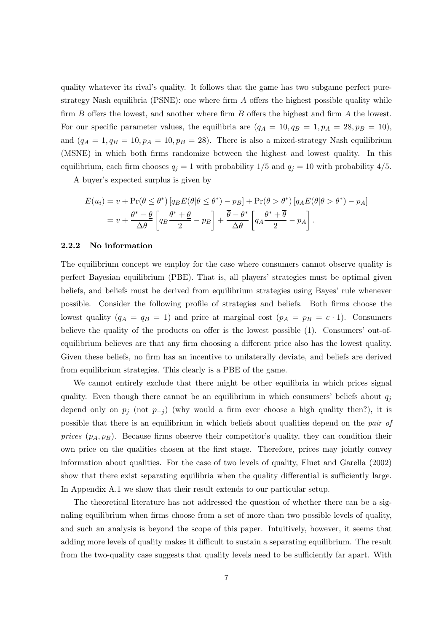quality whatever its rival's quality. It follows that the game has two subgame perfect purestrategy Nash equilibria (PSNE): one where firm  $\tilde{A}$  offers the highest possible quality while firm B offers the lowest, and another where firm B offers the highest and firm A the lowest. For our specific parameter values, the equilibria are  $(q_A = 10, q_B = 1, p_A = 28, p_B = 10)$ , and  $(q_A = 1, q_B = 10, p_A = 10, p_B = 28)$ . There is also a mixed-strategy Nash equilibrium (MSNE) in which both firms randomize between the highest and lowest quality. In this equilibrium, each firm chooses  $q_j = 1$  with probability  $1/5$  and  $q_j = 10$  with probability  $4/5$ .

A buyer's expected surplus is given by

$$
E(u_i) = v + \Pr(\theta \le \theta^*) \left[ q_B E(\theta | \theta \le \theta^*) - p_B \right] + \Pr(\theta > \theta^*) \left[ q_A E(\theta | \theta > \theta^*) - p_A \right]
$$
  
= 
$$
v + \frac{\theta^* - \theta}{\Delta \theta} \left[ q_B \frac{\theta^* + \theta}{2} - p_B \right] + \frac{\overline{\theta} - \theta^*}{\Delta \theta} \left[ q_A \frac{\theta^* + \overline{\theta}}{2} - p_A \right].
$$

#### 2.2.2 No information

The equilibrium concept we employ for the case where consumers cannot observe quality is perfect Bayesian equilibrium (PBE). That is, all players' strategies must be optimal given beliefs, and beliefs must be derived from equilibrium strategies using Bayes' rule whenever possible. Consider the following profile of strategies and beliefs. Both firms choose the lowest quality  $(q_A = q_B = 1)$  and price at marginal cost  $(p_A = p_B = c \cdot 1)$ . Consumers believe the quality of the products on offer is the lowest possible (1). Consumers' out-ofequilibrium believes are that any firm choosing a different price also has the lowest quality. Given these beliefs, no firm has an incentive to unilaterally deviate, and beliefs are derived from equilibrium strategies. This clearly is a PBE of the game.

We cannot entirely exclude that there might be other equilibria in which prices signal quality. Even though there cannot be an equilibrium in which consumers' beliefs about  $q_j$ depend only on  $p_j$  (not  $p_{-j}$ ) (why would a firm ever choose a high quality then?), it is possible that there is an equilibrium in which beliefs about qualities depend on the pair of prices  $(p_A, p_B)$ . Because firms observe their competitor's quality, they can condition their own price on the qualities chosen at the first stage. Therefore, prices may jointly convey information about qualities. For the case of two levels of quality, [Fluet and Garella](#page-21-3) [\(2002\)](#page-21-3) show that there exist separating equilibria when the quality differential is sufficiently large. In Appendix [A.1](#page-17-0) we show that their result extends to our particular setup.

The theoretical literature has not addressed the question of whether there can be a signaling equilibrium when firms choose from a set of more than two possible levels of quality, and such an analysis is beyond the scope of this paper. Intuitively, however, it seems that adding more levels of quality makes it difficult to sustain a separating equilibrium. The result from the two-quality case suggests that quality levels need to be sufficiently far apart. With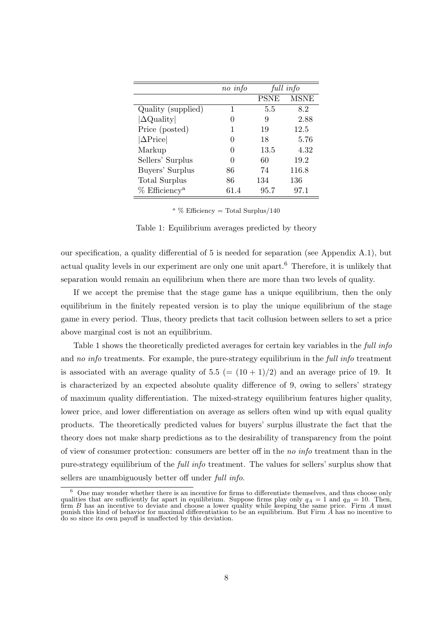|                             | no info      |             | full info   |
|-----------------------------|--------------|-------------|-------------|
|                             |              | <b>PSNE</b> | <b>MSNE</b> |
| Quality (supplied)          | 1            | 5.5         | 8.2         |
| $ \Delta$ Quality           |              | 9           | 2.88        |
| Price (posted)              | 1            | 19          | 12.5        |
| $ \Delta \text{Price} $     | $\mathbf{0}$ | 18          | 5.76        |
| Markup                      |              | 13.5        | 4.32        |
| Sellers' Surplus            |              | 60          | 19.2        |
| Buyers' Surplus             | 86           | 74          | 116.8       |
| <b>Total Surplus</b>        | 86           | 134         | 136         |
| $%$ Efficiency <sup>a</sup> | 61.4         | 95.7        | 97.1        |

<span id="page-7-1"></span><sup>a</sup>  $%$  Efficiency = Total Surplus/140

Table 1: Equilibrium averages predicted by theory

our specification, a quality differential of 5 is needed for separation (see Appendix [A.1\)](#page-17-0), but actual quality levels in our experiment are only one unit apart.<sup>[6](#page-7-0)</sup> Therefore, it is unlikely that separation would remain an equilibrium when there are more than two levels of quality.

If we accept the premise that the stage game has a unique equilibrium, then the only equilibrium in the finitely repeated version is to play the unique equilibrium of the stage game in every period. Thus, theory predicts that tacit collusion between sellers to set a price above marginal cost is not an equilibrium.

Table [1](#page-7-1) shows the theoretically predicted averages for certain key variables in the full info and no info treatments. For example, the pure-strategy equilibrium in the full info treatment is associated with an average quality of 5.5 (=  $(10 + 1)/2$ ) and an average price of 19. It is characterized by an expected absolute quality difference of 9, owing to sellers' strategy of maximum quality differentiation. The mixed-strategy equilibrium features higher quality, lower price, and lower differentiation on average as sellers often wind up with equal quality products. The theoretically predicted values for buyers' surplus illustrate the fact that the theory does not make sharp predictions as to the desirability of transparency from the point of view of consumer protection: consumers are better off in the no info treatment than in the pure-strategy equilibrium of the full info treatment. The values for sellers' surplus show that sellers are unambiguously better off under full info.

<span id="page-7-0"></span> $6$  One may wonder whether there is an incentive for firms to differentiate themselves, and thus choose only qualities that are sufficiently far apart in equilibrium. Suppose firms play only  $q_A = 1$  and  $q_B = 10$ . Then, firm B has an incentive to deviate and choose a lower quality while keeping the same price. Firm A must punish this kind of behavior for maximal differentiation to be an equilibrium. But Firm A has no incentive to do so since its own payoff is unaffected by this deviation.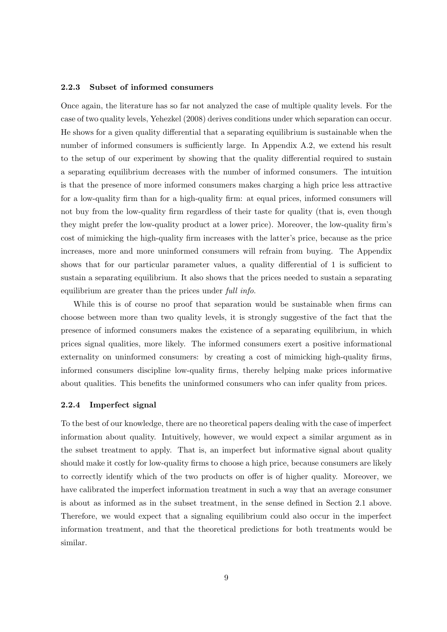## 2.2.3 Subset of informed consumers

Once again, the literature has so far not analyzed the case of multiple quality levels. For the case of two quality levels, [Yehezkel](#page-21-4) [\(2008\)](#page-21-4) derives conditions under which separation can occur. He shows for a given quality differential that a separating equilibrium is sustainable when the number of informed consumers is sufficiently large. In Appendix [A.2,](#page-19-0) we extend his result to the setup of our experiment by showing that the quality differential required to sustain a separating equilibrium decreases with the number of informed consumers. The intuition is that the presence of more informed consumers makes charging a high price less attractive for a low-quality firm than for a high-quality firm: at equal prices, informed consumers will not buy from the low-quality firm regardless of their taste for quality (that is, even though they might prefer the low-quality product at a lower price). Moreover, the low-quality firm's cost of mimicking the high-quality firm increases with the latter's price, because as the price increases, more and more uninformed consumers will refrain from buying. The Appendix shows that for our particular parameter values, a quality differential of 1 is sufficient to sustain a separating equilibrium. It also shows that the prices needed to sustain a separating equilibrium are greater than the prices under full info.

While this is of course no proof that separation would be sustainable when firms can choose between more than two quality levels, it is strongly suggestive of the fact that the presence of informed consumers makes the existence of a separating equilibrium, in which prices signal qualities, more likely. The informed consumers exert a positive informational externality on uninformed consumers: by creating a cost of mimicking high-quality firms, informed consumers discipline low-quality firms, thereby helping make prices informative about qualities. This benefits the uninformed consumers who can infer quality from prices.

#### 2.2.4 Imperfect signal

To the best of our knowledge, there are no theoretical papers dealing with the case of imperfect information about quality. Intuitively, however, we would expect a similar argument as in the subset treatment to apply. That is, an imperfect but informative signal about quality should make it costly for low-quality firms to choose a high price, because consumers are likely to correctly identify which of the two products on offer is of higher quality. Moreover, we have calibrated the imperfect information treatment in such a way that an average consumer is about as informed as in the subset treatment, in the sense defined in Section [2.1](#page-2-1) above. Therefore, we would expect that a signaling equilibrium could also occur in the imperfect information treatment, and that the theoretical predictions for both treatments would be similar.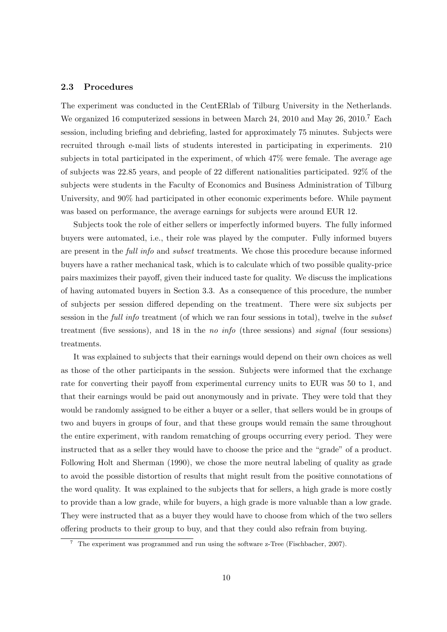## 2.3 Procedures

The experiment was conducted in the CentERlab of Tilburg University in the Netherlands. We organized 16 computerized sessions in between March 24, 2010 and May 26, 2010.[7](#page-9-0) Each session, including briefing and debriefing, lasted for approximately 75 minutes. Subjects were recruited through e-mail lists of students interested in participating in experiments. 210 subjects in total participated in the experiment, of which 47% were female. The average age of subjects was 22.85 years, and people of 22 different nationalities participated. 92% of the subjects were students in the Faculty of Economics and Business Administration of Tilburg University, and 90% had participated in other economic experiments before. While payment was based on performance, the average earnings for subjects were around EUR 12.

Subjects took the role of either sellers or imperfectly informed buyers. The fully informed buyers were automated, i.e., their role was played by the computer. Fully informed buyers are present in the full info and subset treatments. We chose this procedure because informed buyers have a rather mechanical task, which is to calculate which of two possible quality-price pairs maximizes their payoff, given their induced taste for quality. We discuss the implications of having automated buyers in Section [3.3.](#page-16-1) As a consequence of this procedure, the number of subjects per session differed depending on the treatment. There were six subjects per session in the *full info* treatment (of which we ran four sessions in total), twelve in the *subset* treatment (five sessions), and 18 in the no info (three sessions) and signal (four sessions) treatments.

It was explained to subjects that their earnings would depend on their own choices as well as those of the other participants in the session. Subjects were informed that the exchange rate for converting their payoff from experimental currency units to EUR was 50 to 1, and that their earnings would be paid out anonymously and in private. They were told that they would be randomly assigned to be either a buyer or a seller, that sellers would be in groups of two and buyers in groups of four, and that these groups would remain the same throughout the entire experiment, with random rematching of groups occurring every period. They were instructed that as a seller they would have to choose the price and the "grade" of a product. Following [Holt and Sherman](#page-21-5) [\(1990\)](#page-21-5), we chose the more neutral labeling of quality as grade to avoid the possible distortion of results that might result from the positive connotations of the word quality. It was explained to the subjects that for sellers, a high grade is more costly to provide than a low grade, while for buyers, a high grade is more valuable than a low grade. They were instructed that as a buyer they would have to choose from which of the two sellers offering products to their group to buy, and that they could also refrain from buying.

<span id="page-9-0"></span><sup>7</sup> The experiment was programmed and run using the software z-Tree [\(Fischbacher,](#page-21-6) [2007\)](#page-21-6).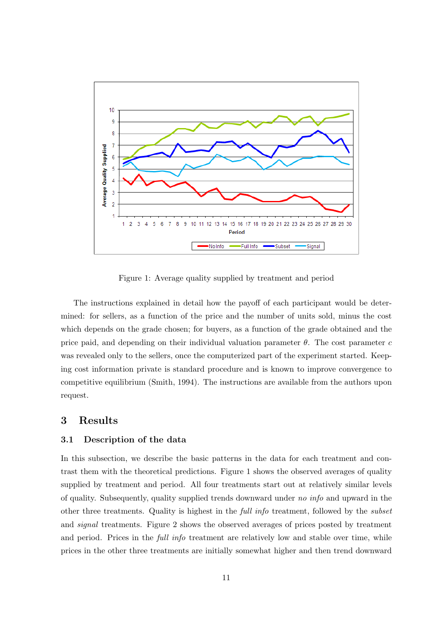

<span id="page-10-1"></span>Figure 1: Average quality supplied by treatment and period

The instructions explained in detail how the payoff of each participant would be determined: for sellers, as a function of the price and the number of units sold, minus the cost which depends on the grade chosen; for buyers, as a function of the grade obtained and the price paid, and depending on their individual valuation parameter  $\theta$ . The cost parameter c was revealed only to the sellers, once the computerized part of the experiment started. Keeping cost information private is standard procedure and is known to improve convergence to competitive equilibrium [\(Smith,](#page-21-7) [1994\)](#page-21-7). The instructions are available from the authors upon request.

## <span id="page-10-0"></span>3 Results

## 3.1 Description of the data

In this subsection, we describe the basic patterns in the data for each treatment and contrast them with the theoretical predictions. Figure [1](#page-10-1) shows the observed averages of quality supplied by treatment and period. All four treatments start out at relatively similar levels of quality. Subsequently, quality supplied trends downward under no info and upward in the other three treatments. Quality is highest in the full info treatment, followed by the subset and signal treatments. Figure [2](#page-11-0) shows the observed averages of prices posted by treatment and period. Prices in the *full info* treatment are relatively low and stable over time, while prices in the other three treatments are initially somewhat higher and then trend downward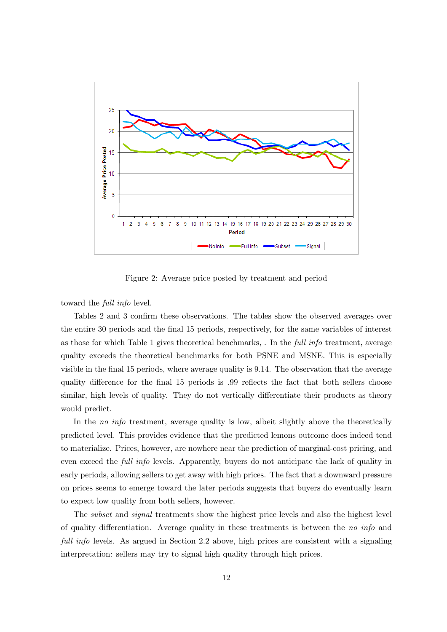

<span id="page-11-0"></span>Figure 2: Average price posted by treatment and period

toward the full info level.

Tables [2](#page-12-0) and [3](#page-12-1) confirm these observations. The tables show the observed averages over the entire 30 periods and the final 15 periods, respectively, for the same variables of interest as those for which Table [1](#page-7-1) gives theoretical benchmarks, . In the full info treatment, average quality exceeds the theoretical benchmarks for both PSNE and MSNE. This is especially visible in the final 15 periods, where average quality is 9.14. The observation that the average quality difference for the final 15 periods is .99 reflects the fact that both sellers choose similar, high levels of quality. They do not vertically differentiate their products as theory would predict.

In the *no info* treatment, average quality is low, albeit slightly above the theoretically predicted level. This provides evidence that the predicted lemons outcome does indeed tend to materialize. Prices, however, are nowhere near the prediction of marginal-cost pricing, and even exceed the *full info* levels. Apparently, buyers do not anticipate the lack of quality in early periods, allowing sellers to get away with high prices. The fact that a downward pressure on prices seems to emerge toward the later periods suggests that buyers do eventually learn to expect low quality from both sellers, however.

The subset and signal treatments show the highest price levels and also the highest level of quality differentiation. Average quality in these treatments is between the no info and full info levels. As argued in Section [2.2](#page-4-1) above, high prices are consistent with a signaling interpretation: sellers may try to signal high quality through high prices.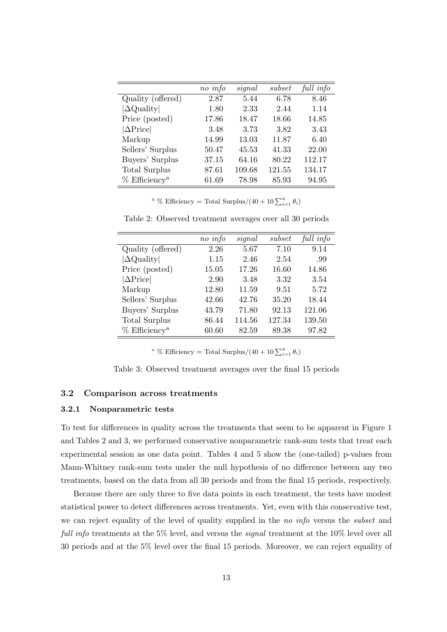|                             | no info | signal | subset | full info |
|-----------------------------|---------|--------|--------|-----------|
| Quality (offered)           | 2.87    | 5.44   | 6.78   | 8.46      |
| $ \Delta$ Quality           | 1.80    | 2.33   | 2.44   | 1.14      |
| Price (posted)              | 17.86   | 18.47  | 18.66  | 14.85     |
| $ \Delta \text{Price} $     | 3.48    | 3.73   | 3.82   | 3.43      |
| Markup                      | 14.99   | 13.03  | 11.87  | 6.40      |
| Sellers' Surplus            | 50.47   | 45.53  | 41.33  | 22.00     |
| Buyers' Surplus             | 37.15   | 64.16  | 80.22  | 112.17    |
| <b>Total Surplus</b>        | 87.61   | 109.68 | 121.55 | 134.17    |
| $%$ Efficiency <sup>a</sup> | 61.69   | 78.98  | 85.93  | 94.95     |

<span id="page-12-0"></span><sup>a</sup> % Efficiency = Total Surplus/(40 + 10  $\sum_{i=1}^{4} \theta_i$ )

|                             | no info | signal | subset | full info |
|-----------------------------|---------|--------|--------|-----------|
| Quality (offered)           | 2.26    | 5.67   | 7.10   | 9.14      |
| $ \Delta$ Quality           | 1.15    | 2.46   | 2.54   | .99       |
| Price (posted)              | 15.05   | 17.26  | 16.60  | 14.86     |
| $ \Delta \text{Price} $     | 2.90    | 3.48   | 3.32   | 3.54      |
| Markup                      | 12.80   | 11.59  | 9.51   | 5.72      |
| Sellers' Surplus            | 42.66   | 42.76  | 35.20  | 18.44     |
| Buyers' Surplus             | 43.79   | 71.80  | 92.13  | 121.06    |
| <b>Total Surplus</b>        | 86.44   | 114.56 | 127.34 | 139.50    |
| $%$ Efficiency <sup>a</sup> | 60.60   | 82.59  | 89.38  | 97.82     |

Table 2: Observed treatment averages over all 30 periods

<span id="page-12-1"></span><sup>a</sup> % Efficiency = Total Surplus/(40 + 10  $\sum_{i=1}^{4} \theta_i$ )

Table 3: Observed treatment averages over the final 15 periods

## 3.2 Comparison across treatments

## 3.2.1 Nonparametric tests

To test for differences in quality across the treatments that seem to be apparent in Figure [1](#page-10-1) and Tables [2](#page-12-0) and [3,](#page-12-1) we performed conservative nonparametric rank-sum tests that treat each experimental session as one data point. Tables [4](#page-13-0) and [5](#page-13-1) show the (one-tailed) p-values from Mann-Whitney rank-sum tests under the null hypothesis of no difference between any two treatments, based on the data from all 30 periods and from the final 15 periods, respectively.

Because there are only three to five data points in each treatment, the tests have modest statistical power to detect differences across treatments. Yet, even with this conservative test, we can reject equality of the level of quality supplied in the no info versus the *subset* and full info treatments at the 5% level, and versus the *signal* treatment at the 10% level over all 30 periods and at the 5% level over the final 15 periods. Moreover, we can reject equality of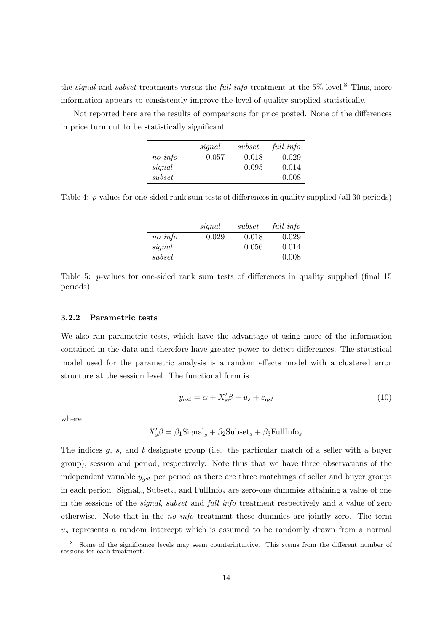the *signal* and *subset* treatments versus the *full info* treatment at the  $5\%$  level.<sup>[8](#page-13-2)</sup> Thus, more information appears to consistently improve the level of quality supplied statistically.

Not reported here are the results of comparisons for price posted. None of the differences in price turn out to be statistically significant.

|         | signal | subset | full info |
|---------|--------|--------|-----------|
| no info | 0.057  | 0.018  | 0.029     |
| signal  |        | 0.095  | 0.014     |
| subset  |        |        | 0.008     |

<span id="page-13-0"></span>Table 4: p-values for one-sided rank sum tests of differences in quality supplied (all 30 periods)

|         | signal | subset | full info |
|---------|--------|--------|-----------|
| no info | 0.029  | 0.018  | 0.029     |
| signal  |        | 0.056  | 0.014     |
| subset  |        |        | 0.008     |

<span id="page-13-1"></span>Table 5: p-values for one-sided rank sum tests of differences in quality supplied (final 15 periods)

#### 3.2.2 Parametric tests

We also ran parametric tests, which have the advantage of using more of the information contained in the data and therefore have greater power to detect differences. The statistical model used for the parametric analysis is a random effects model with a clustered error structure at the session level. The functional form is

$$
y_{gst} = \alpha + X_s' \beta + u_s + \varepsilon_{gst} \tag{10}
$$

where

 $X'_s\beta = \beta_1 \text{Signal}_s + \beta_2 \text{Subset}_s + \beta_3 \text{FullInfo}_s.$ 

The indices  $g$ ,  $s$ , and  $t$  designate group (i.e. the particular match of a seller with a buyer group), session and period, respectively. Note thus that we have three observations of the independent variable  $y_{qst}$  per period as there are three matchings of seller and buyer groups in each period. Signal<sub>s</sub>, Subset<sub>s</sub>, and FullInfo<sub>s</sub> are zero-one dummies attaining a value of one in the sessions of the signal, subset and full info treatment respectively and a value of zero otherwise. Note that in the *no info* treatment these dummies are jointly zero. The term  $u<sub>s</sub>$  represents a random intercept which is assumed to be randomly drawn from a normal

<span id="page-13-2"></span><sup>8</sup> Some of the significance levels may seem counterintuitive. This stems from the different number of sessions for each treatment.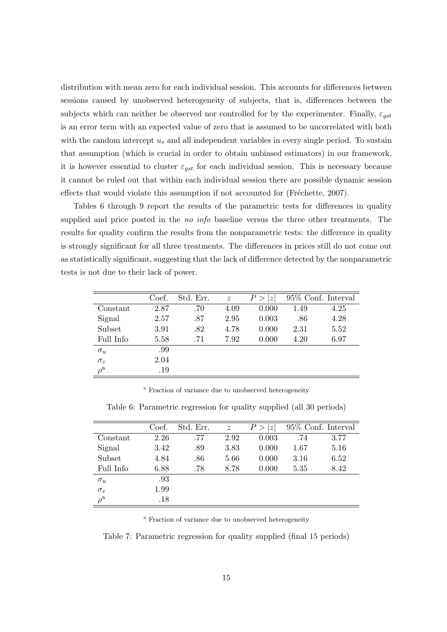distribution with mean zero for each individual session. This accounts for differences between sessions caused by unobserved heterogeneity of subjects, that is, differences between the subjects which can neither be observed nor controlled for by the experimenter. Finally,  $\varepsilon_{qst}$ is an error term with an expected value of zero that is assumed to be uncorrelated with both with the random intercept  $u_s$  and all independent variables in every single period. To sustain that assumption (which is crucial in order to obtain unbiased estimators) in our framework, it is however essential to cluster  $\varepsilon_{gst}$  for each individual session. This is necessary because it cannot be ruled out that within each individual session there are possible dynamic session effects that would violate this assumption if not accounted for (Fréchette, [2007\)](#page-21-8).

Tables [6](#page-14-0) through [9](#page-15-0) report the results of the parametric tests for differences in quality supplied and price posted in the *no info* baseline versus the three other treatments. The results for quality confirm the results from the nonparametric tests: the difference in quality is strongly significant for all three treatments. The differences in prices still do not come out as statistically significant, suggesting that the lack of difference detected by the nonparametric tests is not due to their lack of power.

|                                                  | Coef. | Std. Err. | $\boldsymbol{z}$ | z     |      | 95\% Conf. Interval |
|--------------------------------------------------|-------|-----------|------------------|-------|------|---------------------|
| Constant                                         | 2.87  | .70       | 4.09             | 0.000 | 1.49 | 4.25                |
| Signal                                           | 2.57  | .87       | 2.95             | 0.003 | .86  | 4.28                |
| Subset                                           | 3.91  | .82       | 4.78             | 0.000 | 2.31 | 5.52                |
| Full Info                                        | 5.58  | .71       | 7.92             | 0.000 | 4.20 | 6.97                |
| $\sigma_u$                                       | .99   |           |                  |       |      |                     |
| $\frac{\sigma_{\varepsilon}}{\rho^{\mathbf{a}}}$ | 2.04  |           |                  |       |      |                     |
|                                                  | .19   |           |                  |       |      |                     |

<span id="page-14-0"></span><sup>a</sup> Fraction of variance due to unobserved heterogeneity

| Table 6: Parametric regression for quality supplied (all 30 periods) |  |  |  |  |
|----------------------------------------------------------------------|--|--|--|--|
|                                                                      |  |  |  |  |

|                                                  | Coef. | Std. Err. | $\boldsymbol{z}$ | $\overline{z}$ |      | 95\% Conf. Interval |
|--------------------------------------------------|-------|-----------|------------------|----------------|------|---------------------|
| Constant                                         | 2.26  | .77       | 2.92             | 0.003          | .74  | 3.77                |
| Signal                                           | 3.42  | .89       | 3.83             | 0.000          | 1.67 | 5.16                |
| Subset                                           | 4.84  | .86       | 5.66             | 0.000          | 3.16 | 6.52                |
| Full Info                                        | 6.88  | .78       | 8.78             | 0.000          | 5.35 | 8.42                |
| $\sigma_u$                                       | .93   |           |                  |                |      |                     |
| $\frac{\sigma_{\varepsilon}}{\rho^{\mathbf{a}}}$ | 1.99  |           |                  |                |      |                     |
|                                                  | .18   |           |                  |                |      |                     |

<sup>a</sup> Fraction of variance due to unobserved heterogeneity

Table 7: Parametric regression for quality supplied (final 15 periods)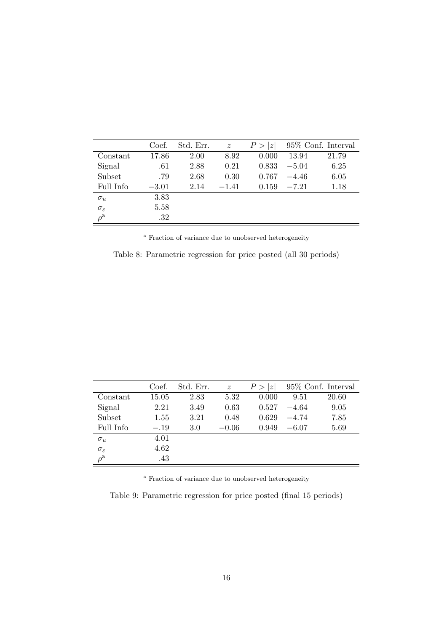|                                                  | Coef.   | Std. Err. | $\widetilde{\mathcal{Z}}$ | z     |         | 95\% Conf. Interval |
|--------------------------------------------------|---------|-----------|---------------------------|-------|---------|---------------------|
| Constant                                         | 17.86   | 2.00      | 8.92                      | 0.000 | 13.94   | 21.79               |
| Signal                                           | .61     | 2.88      | 0.21                      | 0.833 | $-5.04$ | 6.25                |
| Subset                                           | .79     | 2.68      | 0.30                      | 0.767 | $-4.46$ | 6.05                |
| Full Info                                        | $-3.01$ | 2.14      | $-1.41$                   | 0.159 | $-7.21$ | 1.18                |
| $\sigma_u$                                       | 3.83    |           |                           |       |         |                     |
| $\frac{\sigma_{\varepsilon}}{\rho^{\mathbf{a}}}$ | 5.58    |           |                           |       |         |                     |
|                                                  | .32     |           |                           |       |         |                     |

<sup>a</sup> Fraction of variance due to unobserved heterogeneity

Table 8: Parametric regression for price posted (all 30 periods)

|                                                  | Coef.  | Std. Err. | $\widetilde{\mathcal{Z}}$ | $\left\vert z\right\vert$ |         | $95\%$ Conf. Interval |
|--------------------------------------------------|--------|-----------|---------------------------|---------------------------|---------|-----------------------|
| Constant                                         | 15.05  | 2.83      | 5.32                      | 0.000                     | 9.51    | 20.60                 |
| Signal                                           | 2.21   | 3.49      | 0.63                      | 0.527                     | $-4.64$ | 9.05                  |
| Subset                                           | 1.55   | 3.21      | 0.48                      | 0.629                     | $-4.74$ | 7.85                  |
| Full Info                                        | $-.19$ | 3.0       | $-0.06$                   | 0.949                     | $-6.07$ | 5.69                  |
| $\sigma_u$                                       | 4.01   |           |                           |                           |         |                       |
|                                                  | 4.62   |           |                           |                           |         |                       |
| $\frac{\sigma_{\varepsilon}}{\rho^{\mathbf{a}}}$ | .43    |           |                           |                           |         |                       |

<span id="page-15-0"></span><sup>a</sup> Fraction of variance due to unobserved heterogeneity

Table 9: Parametric regression for price posted (final 15 periods)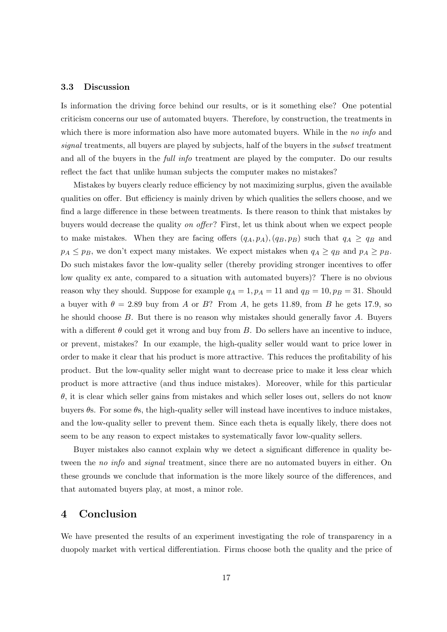#### <span id="page-16-1"></span>3.3 Discussion

Is information the driving force behind our results, or is it something else? One potential criticism concerns our use of automated buyers. Therefore, by construction, the treatments in which there is more information also have more automated buyers. While in the no info and signal treatments, all buyers are played by subjects, half of the buyers in the subset treatment and all of the buyers in the full info treatment are played by the computer. Do our results reflect the fact that unlike human subjects the computer makes no mistakes?

Mistakes by buyers clearly reduce efficiency by not maximizing surplus, given the available qualities on offer. But efficiency is mainly driven by which qualities the sellers choose, and we find a large difference in these between treatments. Is there reason to think that mistakes by buyers would decrease the quality on offer? First, let us think about when we expect people to make mistakes. When they are facing offers  $(q_A, p_A)$ ,  $(q_B, p_B)$  such that  $q_A \geq q_B$  and  $p_A \leq p_B$ , we don't expect many mistakes. We expect mistakes when  $q_A \geq q_B$  and  $p_A \geq p_B$ . Do such mistakes favor the low-quality seller (thereby providing stronger incentives to offer low quality ex ante, compared to a situation with automated buyers)? There is no obvious reason why they should. Suppose for example  $q_A = 1$ ,  $p_A = 11$  and  $q_B = 10$ ,  $p_B = 31$ . Should a buyer with  $\theta = 2.89$  buy from A or B? From A, he gets 11.89, from B he gets 17.9, so he should choose B. But there is no reason why mistakes should generally favor A. Buyers with a different  $\theta$  could get it wrong and buy from  $B$ . Do sellers have an incentive to induce, or prevent, mistakes? In our example, the high-quality seller would want to price lower in order to make it clear that his product is more attractive. This reduces the profitability of his product. But the low-quality seller might want to decrease price to make it less clear which product is more attractive (and thus induce mistakes). Moreover, while for this particular  $\theta$ , it is clear which seller gains from mistakes and which seller loses out, sellers do not know buyers  $\theta$ s. For some  $\theta$ s, the high-quality seller will instead have incentives to induce mistakes, and the low-quality seller to prevent them. Since each theta is equally likely, there does not seem to be any reason to expect mistakes to systematically favor low-quality sellers.

Buyer mistakes also cannot explain why we detect a significant difference in quality between the no info and signal treatment, since there are no automated buyers in either. On these grounds we conclude that information is the more likely source of the differences, and that automated buyers play, at most, a minor role.

# <span id="page-16-0"></span>4 Conclusion

We have presented the results of an experiment investigating the role of transparency in a duopoly market with vertical differentiation. Firms choose both the quality and the price of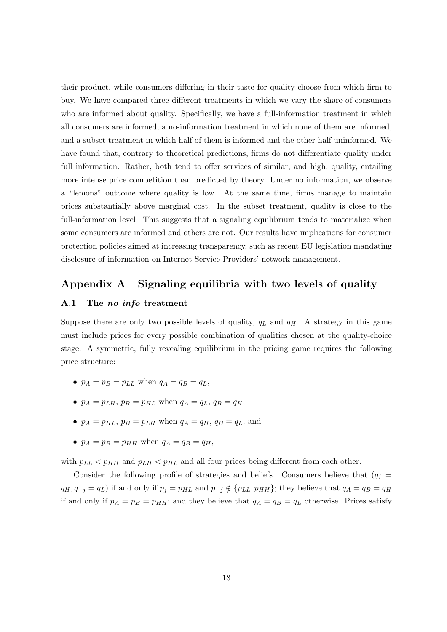their product, while consumers differing in their taste for quality choose from which firm to buy. We have compared three different treatments in which we vary the share of consumers who are informed about quality. Specifically, we have a full-information treatment in which all consumers are informed, a no-information treatment in which none of them are informed, and a subset treatment in which half of them is informed and the other half uninformed. We have found that, contrary to theoretical predictions, firms do not differentiate quality under full information. Rather, both tend to offer services of similar, and high, quality, entailing more intense price competition than predicted by theory. Under no information, we observe a "lemons" outcome where quality is low. At the same time, firms manage to maintain prices substantially above marginal cost. In the subset treatment, quality is close to the full-information level. This suggests that a signaling equilibrium tends to materialize when some consumers are informed and others are not. Our results have implications for consumer protection policies aimed at increasing transparency, such as recent EU legislation mandating disclosure of information on Internet Service Providers' network management.

# Appendix A Signaling equilibria with two levels of quality

## <span id="page-17-0"></span>A.1 The no info treatment

Suppose there are only two possible levels of quality,  $q_L$  and  $q_H$ . A strategy in this game must include prices for every possible combination of qualities chosen at the quality-choice stage. A symmetric, fully revealing equilibrium in the pricing game requires the following price structure:

- $p_A = p_B = p_{LL}$  when  $q_A = q_B = q_L$ ,
- $p_A = p_{LH}$ ,  $p_B = p_{HL}$  when  $q_A = q_L$ ,  $q_B = q_H$ ,
- $p_A = p_{HL}, p_B = p_{LH}$  when  $q_A = q_H, q_B = q_L$ , and
- $p_A = p_B = p_{HH}$  when  $q_A = q_B = q_H$ ,

with  $p_{LL}$   $\lt$   $p_{HH}$  and  $p_{LH}$   $\lt$   $p_{HL}$  and all four prices being different from each other.

Consider the following profile of strategies and beliefs. Consumers believe that  $(q_i =$  $q_H, q_{-j} = q_L$ ) if and only if  $p_j = p_{HL}$  and  $p_{-j} \notin \{p_{LL}, p_{HH}\}$ ; they believe that  $q_A = q_B = q_H$ if and only if  $p_A = p_B = p_{HH}$ ; and they believe that  $q_A = q_B = q_L$  otherwise. Prices satisfy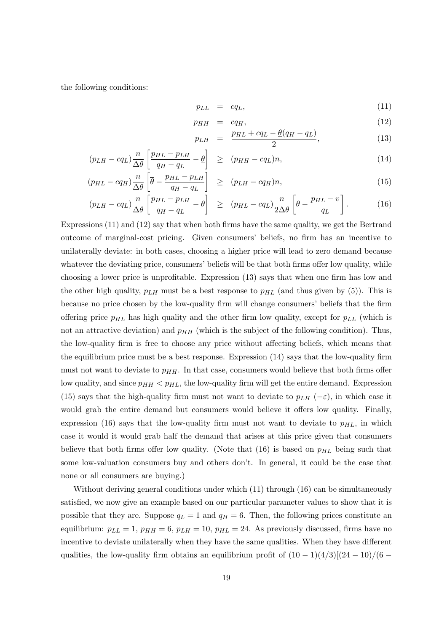the following conditions:

<span id="page-18-0"></span>
$$
p_{LL} = cq_L, \tag{11}
$$

$$
p_{HH} = cq_H,
$$
\n<sup>(12)</sup>

$$
p_{LH} = \frac{p_{HL} + cq_L - \underline{\theta}(q_H - q_L)}{2}, \qquad (13)
$$

$$
(p_{LH} - cq_L)\frac{n}{\Delta\theta} \left[ \frac{p_{HL} - p_{LH}}{q_H - q_L} - \underline{\theta} \right] \ge (p_{HH} - cq_L)n,
$$
\n(14)

$$
(p_{HL} - c q_H) \frac{n}{\Delta \theta} \left[ \overline{\theta} - \frac{p_{HL} - p_{LH}}{q_H - q_L} \right] \ge (p_{LH} - c q_H) n, \tag{15}
$$

$$
(p_{LH} - cq_L)\frac{n}{\Delta\theta} \left[ \frac{p_{HL} - p_{LH}}{q_H - q_L} - \underline{\theta} \right] \ge (p_{HL} - cq_L)\frac{n}{2\Delta\theta} \left[ \overline{\theta} - \frac{p_{HL} - v}{q_L} \right]. \tag{16}
$$

Expressions [\(11\)](#page-18-0) and [\(12\)](#page-18-0) say that when both firms have the same quality, we get the Bertrand outcome of marginal-cost pricing. Given consumers' beliefs, no firm has an incentive to unilaterally deviate: in both cases, choosing a higher price will lead to zero demand because whatever the deviating price, consumers' beliefs will be that both firms offer low quality, while choosing a lower price is unprofitable. Expression [\(13\)](#page-18-0) says that when one firm has low and the other high quality,  $p_{LH}$  must be a best response to  $p_{HL}$  (and thus given by [\(5\)](#page-5-1)). This is because no price chosen by the low-quality firm will change consumers' beliefs that the firm offering price  $p_{HL}$  has high quality and the other firm low quality, except for  $p_{LL}$  (which is not an attractive deviation) and  $p_{HH}$  (which is the subject of the following condition). Thus, the low-quality firm is free to choose any price without affecting beliefs, which means that the equilibrium price must be a best response. Expression [\(14\)](#page-18-0) says that the low-quality firm must not want to deviate to  $p_{HH}$ . In that case, consumers would believe that both firms offer low quality, and since  $p_{HH} < p_{HL}$ , the low-quality firm will get the entire demand. Expression [\(15\)](#page-18-0) says that the high-quality firm must not want to deviate to  $p_{LH}$  (– $\varepsilon$ ), in which case it would grab the entire demand but consumers would believe it offers low quality. Finally, expression [\(16\)](#page-18-0) says that the low-quality firm must not want to deviate to  $p_{HL}$ , in which case it would it would grab half the demand that arises at this price given that consumers believe that both firms offer low quality. (Note that  $(16)$  is based on  $p_{HL}$  being such that some low-valuation consumers buy and others don't. In general, it could be the case that none or all consumers are buying.)

Without deriving general conditions under which  $(11)$  through  $(16)$  can be simultaneously satisfied, we now give an example based on our particular parameter values to show that it is possible that they are. Suppose  $q_L = 1$  and  $q_H = 6$ . Then, the following prices constitute an equilibrium:  $p_{LL} = 1$ ,  $p_{HH} = 6$ ,  $p_{LH} = 10$ ,  $p_{HL} = 24$ . As previously discussed, firms have no incentive to deviate unilaterally when they have the same qualities. When they have different qualities, the low-quality firm obtains an equilibrium profit of  $(10 - 1)(4/3)[(24 - 10)/(6 -$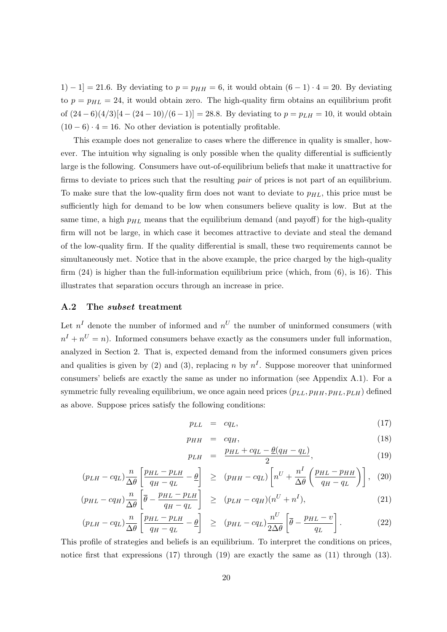1) − 1] = 21.6. By deviating to  $p = p_{HH} = 6$ , it would obtain  $(6-1) \cdot 4 = 20$ . By deviating to  $p = p_{HL} = 24$ , it would obtain zero. The high-quality firm obtains an equilibrium profit of  $(24-6)(4/3)[4-(24-10)/(6-1)] = 28.8$ . By deviating to  $p = p_{LH} = 10$ , it would obtain  $(10-6) \cdot 4 = 16$ . No other deviation is potentially profitable.

This example does not generalize to cases where the difference in quality is smaller, however. The intuition why signaling is only possible when the quality differential is sufficiently large is the following. Consumers have out-of-equilibrium beliefs that make it unattractive for firms to deviate to prices such that the resulting *pair* of prices is not part of an equilibrium. To make sure that the low-quality firm does not want to deviate to  $p_{HL}$ , this price must be sufficiently high for demand to be low when consumers believe quality is low. But at the same time, a high  $p_{HL}$  means that the equilibrium demand (and payoff) for the high-quality firm will not be large, in which case it becomes attractive to deviate and steal the demand of the low-quality firm. If the quality differential is small, these two requirements cannot be simultaneously met. Notice that in the above example, the price charged by the high-quality firm  $(24)$  is higher than the full-information equilibrium price (which, from  $(6)$ , is 16). This illustrates that separation occurs through an increase in price.

## <span id="page-19-0"></span>A.2 The subset treatment

Let  $n<sup>I</sup>$  denote the number of informed and  $n<sup>U</sup>$  the number of uninformed consumers (with  $n<sup>I</sup> + n<sup>U</sup> = n$ ). Informed consumers behave exactly as the consumers under full information, analyzed in Section [2.](#page-2-0) That is, expected demand from the informed consumers given prices and qualities is given by [\(2\)](#page-5-3) and [\(3\)](#page-5-3), replacing n by  $n<sup>I</sup>$ . Suppose moreover that uninformed consumers' beliefs are exactly the same as under no information (see Appendix [A.1\)](#page-17-0). For a symmetric fully revealing equilibrium, we once again need prices  $(p_{LL}, p_{HH}, p_{HL}, p_{LH})$  defined as above. Suppose prices satisfy the following conditions:

<span id="page-19-1"></span>
$$
p_{LL} = cq_L, \t\t(17)
$$

$$
p_{HH} = cq_H, \t\t(18)
$$

$$
p_{LH} = \frac{p_{HL} + cq_L - \underline{\theta}(q_H - q_L)}{2}, \tag{19}
$$

$$
(p_{LH} - cq_L) \frac{n}{\Delta \theta} \left[ \frac{p_{HL} - p_{LH}}{q_H - q_L} - \underline{\theta} \right] \ge (p_{HH} - cq_L) \left[ n^U + \frac{n^I}{\Delta \theta} \left( \frac{p_{HL} - p_{HH}}{q_H - q_L} \right) \right], \quad (20)
$$

$$
(p_{HL} - c q_H) \frac{n}{\Delta \theta} \left[ \overline{\theta} - \frac{p_{HL} - p_{LH}}{q_H - q_L} \right] \ge (p_{LH} - c q_H) (n^U + n^I), \tag{21}
$$

$$
(p_{LH} - cq_L) \frac{n}{\Delta \theta} \left[ \frac{p_{HL} - p_{LH}}{q_H - q_L} - \underline{\theta} \right] \ge (p_{HL} - cq_L) \frac{n^U}{2\Delta \theta} \left[ \overline{\theta} - \frac{p_{HL} - v}{q_L} \right]. \tag{22}
$$

This profile of strategies and beliefs is an equilibrium. To interpret the conditions on prices, notice first that expressions [\(17\)](#page-19-1) through [\(19\)](#page-19-1) are exactly the same as [\(11\)](#page-18-0) through [\(13\)](#page-18-0).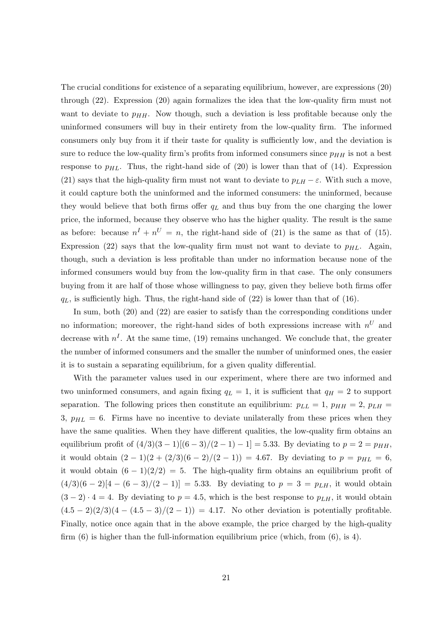The crucial conditions for existence of a separating equilibrium, however, are expressions [\(20\)](#page-19-1) through [\(22\)](#page-19-1). Expression [\(20\)](#page-19-1) again formalizes the idea that the low-quality firm must not want to deviate to  $p_{HH}$ . Now though, such a deviation is less profitable because only the uninformed consumers will buy in their entirety from the low-quality firm. The informed consumers only buy from it if their taste for quality is sufficiently low, and the deviation is sure to reduce the low-quality firm's profits from informed consumers since  $p_{HH}$  is not a best response to  $p_{HL}$ . Thus, the right-hand side of [\(20\)](#page-19-1) is lower than that of [\(14\)](#page-18-0). Expression [\(21\)](#page-19-1) says that the high-quality firm must not want to deviate to  $p_{LH} - \varepsilon$ . With such a move, it could capture both the uninformed and the informed consumers: the uninformed, because they would believe that both firms offer  $q_L$  and thus buy from the one charging the lower price, the informed, because they observe who has the higher quality. The result is the same as before: because  $n^I + n^U = n$ , the right-hand side of [\(21\)](#page-19-1) is the same as that of [\(15\)](#page-18-0). Expression [\(22\)](#page-19-1) says that the low-quality firm must not want to deviate to  $p_{HL}$ . Again, though, such a deviation is less profitable than under no information because none of the informed consumers would buy from the low-quality firm in that case. The only consumers buying from it are half of those whose willingness to pay, given they believe both firms offer  $q_L$ , is sufficiently high. Thus, the right-hand side of  $(22)$  is lower than that of  $(16)$ .

In sum, both [\(20\)](#page-19-1) and [\(22\)](#page-19-1) are easier to satisfy than the corresponding conditions under no information; moreover, the right-hand sides of both expressions increase with  $n^U$  and decrease with  $n<sup>I</sup>$ . At the same time, [\(19\)](#page-19-1) remains unchanged. We conclude that, the greater the number of informed consumers and the smaller the number of uninformed ones, the easier it is to sustain a separating equilibrium, for a given quality differential.

With the parameter values used in our experiment, where there are two informed and two uninformed consumers, and again fixing  $q_L = 1$ , it is sufficient that  $q_H = 2$  to support separation. The following prices then constitute an equilibrium:  $p_{LL} = 1$ ,  $p_{HH} = 2$ ,  $p_{LH} =$ 3,  $p_{HL} = 6$ . Firms have no incentive to deviate unilaterally from these prices when they have the same qualities. When they have different qualities, the low-quality firm obtains an equilibrium profit of  $(4/3)(3-1)[(6-3)/(2-1)-1] = 5.33$ . By deviating to  $p = 2 = p_{HH}$ , it would obtain  $(2-1)(2+(2/3)(6-2)/(2-1)) = 4.67$ . By deviating to  $p = p_{HL} = 6$ , it would obtain  $(6 - 1)(2/2) = 5$ . The high-quality firm obtains an equilibrium profit of  $(4/3)(6-2)[4-(6-3)/(2-1)] = 5.33.$  By deviating to  $p = 3 = p_{LH}$ , it would obtain  $(3-2)\cdot 4=4$ . By deviating to  $p=4.5$ , which is the best response to  $p_{LH}$ , it would obtain  $(4.5-2)(2/3)(4-(4.5-3)/(2-1)) = 4.17$ . No other deviation is potentially profitable. Finally, notice once again that in the above example, the price charged by the high-quality firm  $(6)$  is higher than the full-information equilibrium price (which, from  $(6)$ , is 4).